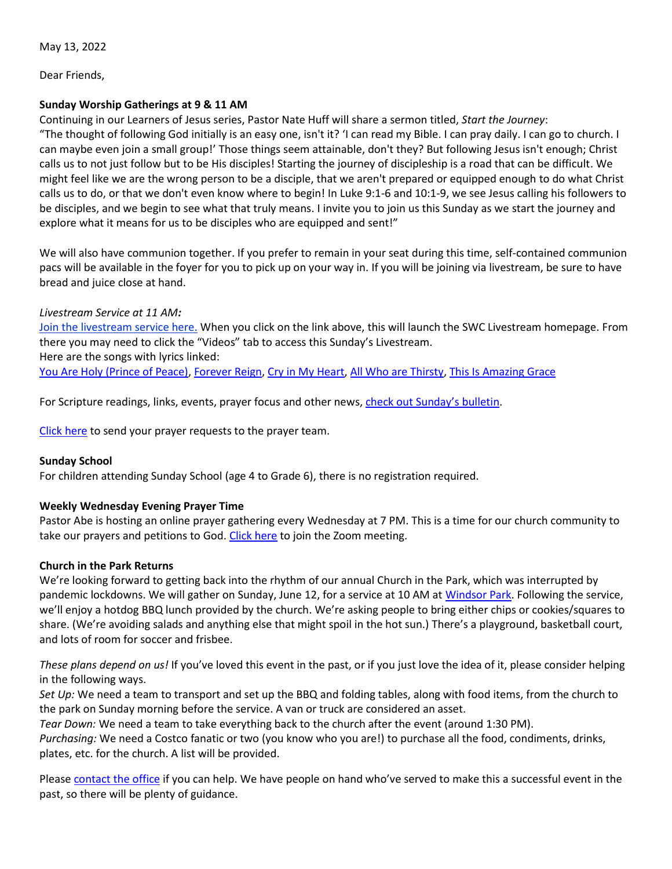Dear Friends,

## **Sunday Worship Gatherings at 9 & 11 AM**

Continuing in our Learners of Jesus series, Pastor Nate Huff will share a sermon titled, *Start the Journey*: "The thought of following God initially is an easy one, isn't it? 'I can read my Bible. I can pray daily. I can go to church. I can maybe even join a small group!' Those things seem attainable, don't they? But following Jesus isn't enough; Christ calls us to not just follow but to be His disciples! Starting the journey of discipleship is a road that can be difficult. We might feel like we are the wrong person to be a disciple, that we aren't prepared or equipped enough to do what Christ calls us to do, or that we don't even know where to begin! In Luke 9:1-6 and 10:1-9, we see Jesus calling his followers to be disciples, and we begin to see what that truly means. I invite you to join us this Sunday as we start the journey and explore what it means for us to be disciples who are equipped and sent!"

We will also have communion together. If you prefer to remain in your seat during this time, self-contained communion pacs will be available in the foyer for you to pick up on your way in. If you will be joining via livestream, be sure to have bread and juice close at hand.

### *Livestream Service at 11 AM:*

Join the livestream service here. When you click on the link above, this will launch the SWC Livestream homepage. From there you may need to click the "Videos" tab to access this Sunday's Livestream. Here are the songs with lyrics linked: You Are Holy (Prince of Peace), Forever Reign, Cry in My Heart, All Who are Thirsty, This Is Amazing Grace

For Scripture readings, links, events, prayer focus and other news, check out Sunday's bulletin.

Click here to send your prayer requests to the prayer team.

### **Sunday School**

For children attending Sunday School (age 4 to Grade 6), there is no registration required.

# **Weekly Wednesday Evening Prayer Time**

Pastor Abe is hosting an online prayer gathering every Wednesday at 7 PM. This is a time for our church community to take our prayers and petitions to God. Click here to join the Zoom meeting.

### **Church in the Park Returns**

We're looking forward to getting back into the rhythm of our annual Church in the Park, which was interrupted by pandemic lockdowns. We will gather on Sunday, June 12, for a service at 10 AM at Windsor Park. Following the service, we'll enjoy a hotdog BBQ lunch provided by the church. We're asking people to bring either chips or cookies/squares to share. (We're avoiding salads and anything else that might spoil in the hot sun.) There's a playground, basketball court, and lots of room for soccer and frisbee.

*These plans depend on us!* If you've loved this event in the past, or if you just love the idea of it, please consider helping in the following ways.

*Set Up:* We need a team to transport and set up the BBQ and folding tables, along with food items, from the church to the park on Sunday morning before the service. A van or truck are considered an asset.

*Tear Down:* We need a team to take everything back to the church after the event (around 1:30 PM).

*Purchasing:* We need a Costco fanatic or two (you know who you are!) to purchase all the food, condiments, drinks, plates, etc. for the church. A list will be provided.

Please contact the office if you can help. We have people on hand who've served to make this a successful event in the past, so there will be plenty of guidance.